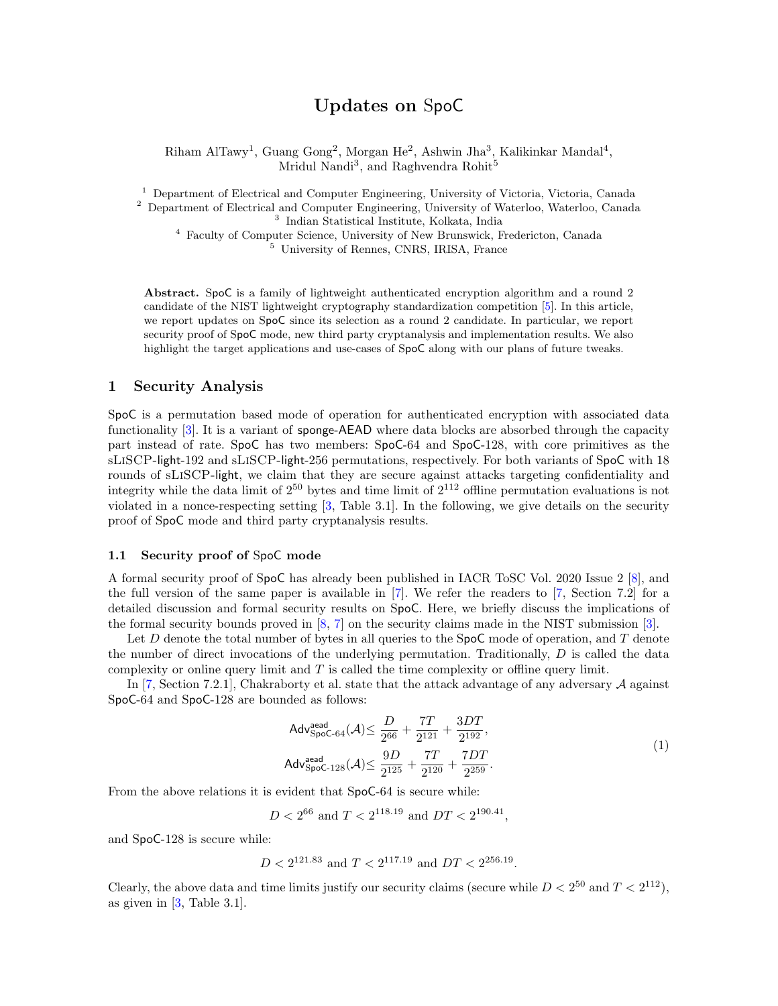# Updates on SpoC

Riham AlTawy<sup>1</sup>, Guang Gong<sup>2</sup>, Morgan He<sup>2</sup>, Ashwin Jha<sup>3</sup>, Kalikinkar Mandal<sup>4</sup>, Mridul Nandi<sup>3</sup>, and Raghvendra Rohit<sup>5</sup>

<sup>1</sup> Department of Electrical and Computer Engineering, University of Victoria, Victoria, Canada <sup>2</sup> Department of Electrical and Computer Engineering, University of Waterloo, Waterloo, Canada <sup>3</sup> Indian Statistical Institute, Kolkata, India

<sup>4</sup> Faculty of Computer Science, University of New Brunswick, Fredericton, Canada <sup>5</sup> University of Rennes, CNRS, IRISA, France

Abstract. SpoC is a family of lightweight authenticated encryption algorithm and a round 2 candidate of the NIST lightweight cryptography standardization competition [\[5\]](#page-4-0). In this article, we report updates on SpoC since its selection as a round 2 candidate. In particular, we report security proof of SpoC mode, new third party cryptanalysis and implementation results. We also highlight the target applications and use-cases of SpoC along with our plans of future tweaks.

## 1 Security Analysis

SpoC is a permutation based mode of operation for authenticated encryption with associated data functionality [\[3\]](#page-4-1). It is a variant of sponge-AEAD where data blocks are absorbed through the capacity part instead of rate. SpoC has two members: SpoC-64 and SpoC-128, with core primitives as the sLiSCP-light-192 and sLiSCP-light-256 permutations, respectively. For both variants of SpoC with 18 rounds of sLiSCP-light, we claim that they are secure against attacks targeting confidentiality and integrity while the data limit of  $2^{50}$  bytes and time limit of  $2^{112}$  offline permutation evaluations is not violated in a nonce-respecting setting [\[3,](#page-4-1) Table 3.1]. In the following, we give details on the security proof of SpoC mode and third party cryptanalysis results.

#### 1.1 Security proof of SpoC mode

A formal security proof of SpoC has already been published in IACR ToSC Vol. 2020 Issue 2 [\[8\]](#page-4-2), and the full version of the same paper is available in [\[7\]](#page-4-3). We refer the readers to [\[7,](#page-4-3) Section 7.2] for a detailed discussion and formal security results on SpoC. Here, we briefly discuss the implications of the formal security bounds proved in [\[8,](#page-4-2) [7\]](#page-4-3) on the security claims made in the NIST submission [\[3\]](#page-4-1).

Let  $D$  denote the total number of bytes in all queries to the SpoC mode of operation, and  $T$  denote the number of direct invocations of the underlying permutation. Traditionally, D is called the data complexity or online query limit and  $T$  is called the time complexity or offline query limit.

In  $[7, Section 7.2.1]$  $[7, Section 7.2.1]$ , Chakraborty et al. state that the attack advantage of any adversary  $\mathcal A$  against SpoC-64 and SpoC-128 are bounded as follows:

<span id="page-0-0"></span>
$$
\begin{aligned}\n\text{Adv}_{\text{SpoC-64}}^{\text{dead}}(\mathcal{A}) &\leq \frac{D}{2^{66}} + \frac{7T}{2^{121}} + \frac{3DT}{2^{192}}, \\
\text{Adv}_{\text{SpoC-128}}^{\text{aed}}(\mathcal{A}) &\leq \frac{9D}{2^{125}} + \frac{7T}{2^{120}} + \frac{7DT}{2^{259}}.\n\end{aligned} \tag{1}
$$

From the above relations it is evident that SpoC-64 is secure while:

$$
D < 2^{66}
$$
 and  $T < 2^{118.19}$  and  $DT < 2^{190.41}$ ,

and SpoC-128 is secure while:

$$
D < 2^{121.83} \text{ and } T < 2^{117.19} \text{ and } DT < 2^{256.19}.
$$

Clearly, the above data and time limits justify our security claims (secure while  $D < 2^{50}$  and  $T < 2^{112}$ ), as given in [\[3,](#page-4-1) Table 3.1].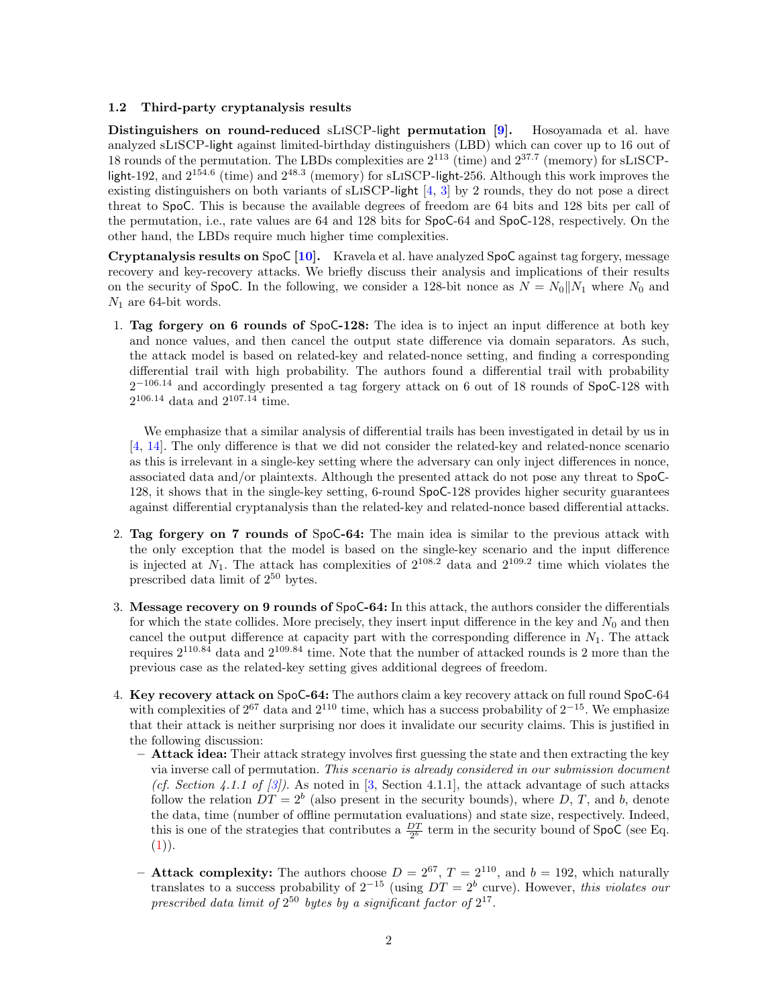### 1.2 Third-party cryptanalysis results

Distinguishers on round-reduced sLiSCP-light permutation [\[9\]](#page-4-4). Hosoyamada et al. have analyzed sLiSCP-light against limited-birthday distinguishers (LBD) which can cover up to 16 out of 18 rounds of the permutation. The LBDs complexities are  $2^{113}$  (time) and  $2^{37.7}$  (memory) for sLISCPlight-192, and  $2^{154.6}$  (time) and  $2^{48.3}$  (memory) for sLISCP-light-256. Although this work improves the existing distinguishers on both variants of sLiSCP-light [\[4,](#page-4-5) [3\]](#page-4-1) by 2 rounds, they do not pose a direct threat to SpoC. This is because the available degrees of freedom are 64 bits and 128 bits per call of the permutation, i.e., rate values are 64 and 128 bits for SpoC-64 and SpoC-128, respectively. On the other hand, the LBDs require much higher time complexities.

Cryptanalysis results on SpoC [\[10\]](#page-4-6). Kravela et al. have analyzed SpoC against tag forgery, message recovery and key-recovery attacks. We briefly discuss their analysis and implications of their results on the security of SpoC. In the following, we consider a 128-bit nonce as  $N = N_0||N_1$  where  $N_0$  and  $N_1$  are 64-bit words.

1. Tag forgery on 6 rounds of SpoC-128: The idea is to inject an input difference at both key and nonce values, and then cancel the output state difference via domain separators. As such, the attack model is based on related-key and related-nonce setting, and finding a corresponding differential trail with high probability. The authors found a differential trail with probability  $2^{-106.14}$  $2^{-106.14}$  $2^{-106.14}$  and accordingly presented a tag forgery attack on 6 out of 18 rounds of SpoC-128 with  $2^{106.14}$  data and  $2^{107.14}$  time.

We emphasize that a similar analysis of differential trails has been investigated in detail by us in [\[4,](#page-4-5) [14\]](#page-4-7). The only difference is that we did not consider the related-key and related-nonce scenario as this is irrelevant in a single-key setting where the adversary can only inject differences in nonce, associated data and/or plaintexts. Although the presented attack do not pose any threat to SpoC-128, it shows that in the single-key setting, 6-round SpoC-128 provides higher security guarantees against differential cryptanalysis than the related-key and related-nonce based differential attacks.

- 2. Tag forgery on 7 rounds of SpoC-64: The main idea is similar to the previous attack with the only exception that the model is based on the single-key scenario and the input difference is injected at  $N_1$ . The attack has complexities of  $2^{108.2}$  data and  $2^{109.2}$  time which violates the prescribed data limit of  $2^{50}$  bytes.
- 3. Message recovery on 9 rounds of SpoC-64: In this attack, the authors consider the differentials for which the state collides. More precisely, they insert input difference in the key and  $N_0$  and then cancel the output difference at capacity part with the corresponding difference in  $N_1$ . The attack requires  $2^{110.84}$  data and  $2^{109.84}$  time. Note that the number of attacked rounds is 2 more than the previous case as the related-key setting gives additional degrees of freedom.
- 4. Key recovery attack on SpoC-64: The authors claim a key recovery attack on full round SpoC-64 with complexities of  $2^{67}$  data and  $2^{110}$  time, which has a success probability of  $2^{-15}$ . We emphasize that their attack is neither surprising nor does it invalidate our security claims. This is justified in the following discussion:
	- $-$  Attack idea: Their attack strategy involves first guessing the state and then extracting the key via inverse call of permutation. This scenario is already considered in our submission document (cf. Section 4.1.1 of  $\lbrack 3 \rbrack$ ). As noted in  $\lbrack 3$ , Section 4.1.1, the attack advantage of such attacks follow the relation  $DT = 2^b$  (also present in the security bounds), where D, T, and b, denote the data, time (number of offline permutation evaluations) and state size, respectively. Indeed, this is one of the strategies that contributes a  $\frac{DT}{2b}$  term in the security bound of SpoC (see Eq.  $(1)).$  $(1)).$
	- **Attack complexity:** The authors choose  $D = 2^{67}$ ,  $T = 2^{110}$ , and  $b = 192$ , which naturally translates to a success probability of  $2^{-15}$  (using  $DT = 2^b$  curve). However, this violates our prescribed data limit of  $2^{50}$  bytes by a significant factor of  $2^{17}$ .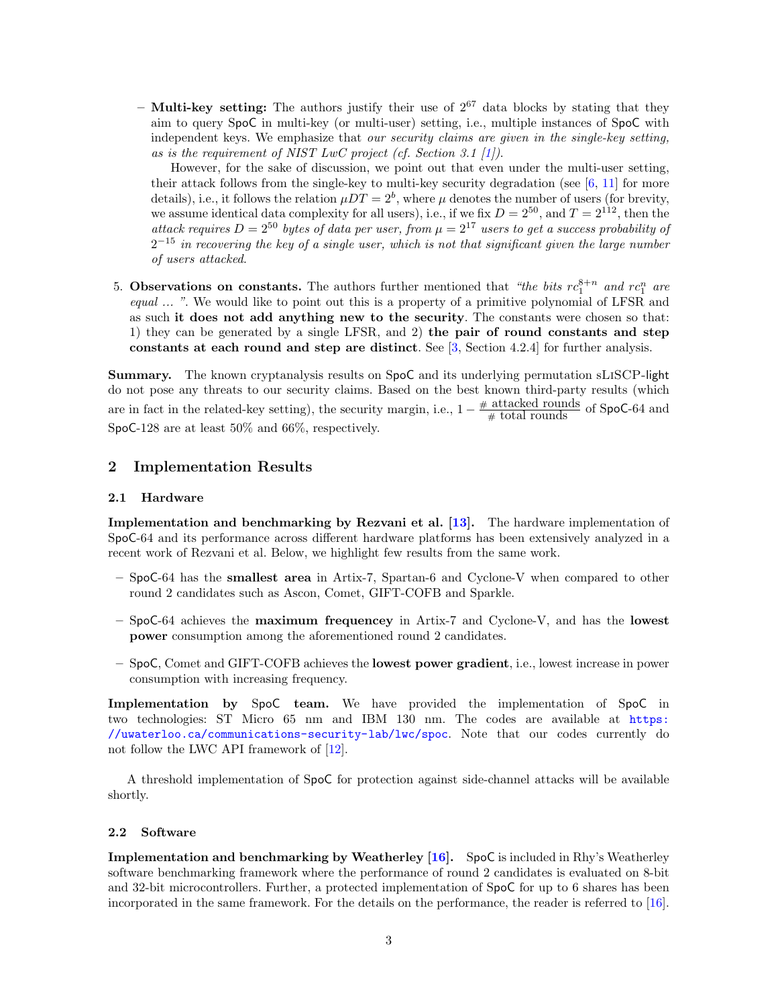– **Multi-key setting:** The authors justify their use of  $2^{67}$  data blocks by stating that they aim to query SpoC in multi-key (or multi-user) setting, i.e., multiple instances of SpoC with independent keys. We emphasize that our security claims are given in the single-key setting, as is the requirement of NIST LwC project (cf. Section 3.1  $[1]$ ).

However, for the sake of discussion, we point out that even under the multi-user setting, their attack follows from the single-key to multi-key security degradation (see  $[6, 11]$  $[6, 11]$  $[6, 11]$  for more details), i.e., it follows the relation  $\mu DT = 2^b$ , where  $\mu$  denotes the number of users (for brevity, we assume identical data complexity for all users), i.e., if we fix  $D = 2^{50}$ , and  $T = 2^{112}$ , then the attack requires  $D = 2^{50}$  bytes of data per user, from  $\mu = 2^{17}$  users to get a success probability of  $2^{-15}$  in recovering the key of a single user, which is not that significant given the large number of users attacked.

5. Observations on constants. The authors further mentioned that "the bits  $rc_1^{8+n}$  and  $rc_1^n$  are equal ... ". We would like to point out this is a property of a primitive polynomial of LFSR and as such it does not add anything new to the security. The constants were chosen so that: 1) they can be generated by a single LFSR, and 2) the pair of round constants and step constants at each round and step are distinct. See [\[3,](#page-4-1) Section 4.2.4] for further analysis.

Summary. The known cryptanalysis results on SpoC and its underlying permutation sLiSCP-light do not pose any threats to our security claims. Based on the best known third-party results (which are in fact in the related-key setting), the security margin, i.e.,  $1 - \frac{\text{\# attached rounds}}{\text{\# total rounds}}$  of SpoC-64 and SpoC-128 are at least 50% and 66%, respectively.

## 2 Implementation Results

## 2.1 Hardware

Implementation and benchmarking by Rezvani et al. [\[13\]](#page-4-11). The hardware implementation of SpoC-64 and its performance across different hardware platforms has been extensively analyzed in a recent work of Rezvani et al. Below, we highlight few results from the same work.

- SpoC-64 has the smallest area in Artix-7, Spartan-6 and Cyclone-V when compared to other round 2 candidates such as Ascon, Comet, GIFT-COFB and Sparkle.
- SpoC-64 achieves the maximum frequencey in Artix-7 and Cyclone-V, and has the lowest power consumption among the aforementioned round 2 candidates.
- SpoC, Comet and GIFT-COFB achieves the lowest power gradient, i.e., lowest increase in power consumption with increasing frequency.

Implementation by SpoC team. We have provided the implementation of SpoC in two technologies: ST Micro 65 nm and IBM 130 nm. The codes are available at [https:](https://uwaterloo.ca/communications-security-lab/lwc/spoc) [//uwaterloo.ca/communications-security-lab/lwc/spoc](https://uwaterloo.ca/communications-security-lab/lwc/spoc). Note that our codes currently do not follow the LWC API framework of [\[12\]](#page-4-12).

A threshold implementation of SpoC for protection against side-channel attacks will be available shortly.

#### 2.2 Software

Implementation and benchmarking by Weatherley [\[16\]](#page-4-13). SpoC is included in Rhy's Weatherley software benchmarking framework where the performance of round 2 candidates is evaluated on 8-bit and 32-bit microcontrollers. Further, a protected implementation of SpoC for up to 6 shares has been incorporated in the same framework. For the details on the performance, the reader is referred to [\[16\]](#page-4-13).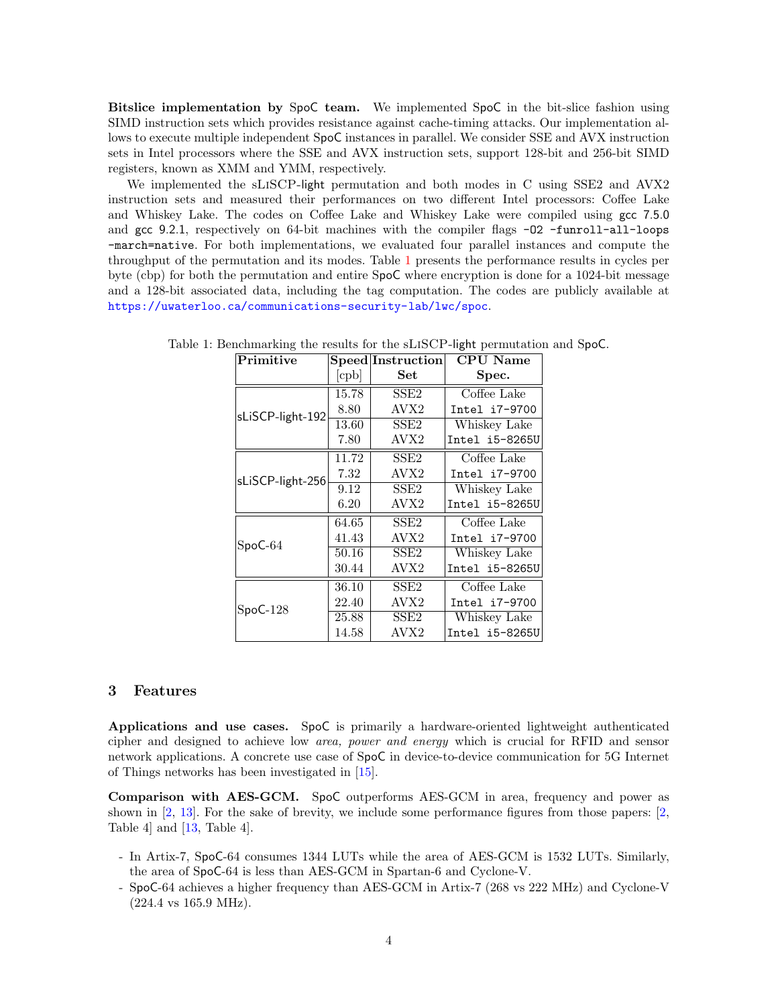Bitslice implementation by SpoC team. We implemented SpoC in the bit-slice fashion using SIMD instruction sets which provides resistance against cache-timing attacks. Our implementation allows to execute multiple independent SpoC instances in parallel. We consider SSE and AVX instruction sets in Intel processors where the SSE and AVX instruction sets, support 128-bit and 256-bit SIMD registers, known as XMM and YMM, respectively.

We implemented the sLiSCP-light permutation and both modes in C using SSE2 and AVX2 instruction sets and measured their performances on two different Intel processors: Coffee Lake and Whiskey Lake. The codes on Coffee Lake and Whiskey Lake were compiled using gcc 7.5.0 and gcc 9.2.1, respectively on 64-bit machines with the compiler flags -02 -funroll-all-loops -march=native. For both implementations, we evaluated four parallel instances and compute the throughput of the permutation and its modes. Table [1](#page-3-0) presents the performance results in cycles per byte (cbp) for both the permutation and entire SpoC where encryption is done for a 1024-bit message and a 128-bit associated data, including the tag computation. The codes are publicly available at <https://uwaterloo.ca/communications-security-lab/lwc/spoc>.

| Primitive        |                | $\bf Speed Instruction$ | CPU Name       |
|------------------|----------------|-------------------------|----------------|
|                  | $[\text{cpb}]$ | Set                     | Spec.          |
| sLiSCP-light-192 | 15.78          | SSE2                    | Coffee Lake    |
|                  | 8.80           | AVX2                    | Intel i7-9700  |
|                  | 13.60          | SSE <sub>2</sub>        | Whiskey Lake   |
|                  | 7.80           | AVX2                    | Intel i5-8265U |
| sLiSCP-light-256 | 11.72          | SSE <sub>2</sub>        | Coffee Lake    |
|                  | 7.32           | AVX <sub>2</sub>        | Intel i7-9700  |
|                  | 9.12           | SSE2                    | Whiskey Lake   |
|                  | 6.20           | AVX2                    | Intel i5-8265U |
| $SpoC-64$        | 64.65          | SSE <sub>2</sub>        | Coffee Lake    |
|                  | 41.43          | AVX <sub>2</sub>        | Intel i7-9700  |
|                  | 50.16          | SSE <sub>2</sub>        | Whiskey Lake   |
|                  | 30.44          | AVX2                    | Intel i5-8265U |
| $SpoC-128$       | 36.10          | SSE <sub>2</sub>        | Coffee Lake    |
|                  | 22.40          | AVX2                    | Intel i7-9700  |
|                  | 25.88          | SSE <sub>2</sub>        | Whiskey Lake   |
|                  | 14.58          | AVX <sub>2</sub>        | Intel i5-8265U |

<span id="page-3-0"></span>Table 1: Benchmarking the results for the sLiSCP-light permutation and SpoC.

## 3 Features

Applications and use cases. SpoC is primarily a hardware-oriented lightweight authenticated cipher and designed to achieve low area, power and energy which is crucial for RFID and sensor network applications. A concrete use case of SpoC in device-to-device communication for 5G Internet of Things networks has been investigated in [\[15\]](#page-4-14).

Comparison with AES-GCM. SpoC outperforms AES-GCM in area, frequency and power as shown in [\[2,](#page-4-15) [13\]](#page-4-11). For the sake of brevity, we include some performance figures from those papers: [\[2,](#page-4-15) Table 4] and [\[13,](#page-4-11) Table 4].

- In Artix-7, SpoC-64 consumes 1344 LUTs while the area of AES-GCM is 1532 LUTs. Similarly, the area of SpoC-64 is less than AES-GCM in Spartan-6 and Cyclone-V.
- SpoC-64 achieves a higher frequency than AES-GCM in Artix-7 (268 vs 222 MHz) and Cyclone-V (224.4 vs 165.9 MHz).